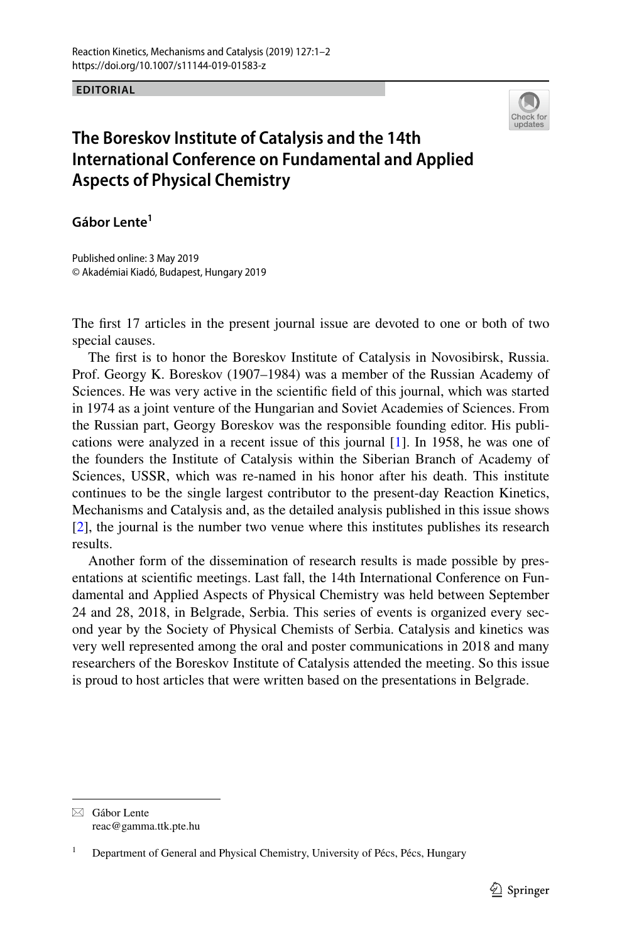## **EDITORIAL**



## **The Boreskov Institute of Catalysis and the 14th International Conference on Fundamental and Applied Aspects of Physical Chemistry**

**Gábor Lente<sup>1</sup>**

Published online: 3 May 2019 © Akadémiai Kiadó, Budapest, Hungary 2019

The frst 17 articles in the present journal issue are devoted to one or both of two special causes.

The frst is to honor the Boreskov Institute of Catalysis in Novosibirsk, Russia. Prof. Georgy K. Boreskov (1907–1984) was a member of the Russian Academy of Sciences. He was very active in the scientifc feld of this journal, which was started in 1974 as a joint venture of the Hungarian and Soviet Academies of Sciences. From the Russian part, Georgy Boreskov was the responsible founding editor. His publications were analyzed in a recent issue of this journal [[1\]](#page-1-0). In 1958, he was one of the founders the Institute of Catalysis within the Siberian Branch of Academy of Sciences, USSR, which was re-named in his honor after his death. This institute continues to be the single largest contributor to the present-day Reaction Kinetics, Mechanisms and Catalysis and, as the detailed analysis published in this issue shows [\[2](#page-1-1)], the journal is the number two venue where this institutes publishes its research results.

Another form of the dissemination of research results is made possible by presentations at scientifc meetings. Last fall, the 14th International Conference on Fundamental and Applied Aspects of Physical Chemistry was held between September 24 and 28, 2018, in Belgrade, Serbia. This series of events is organized every second year by the Society of Physical Chemists of Serbia. Catalysis and kinetics was very well represented among the oral and poster communications in 2018 and many researchers of the Boreskov Institute of Catalysis attended the meeting. So this issue is proud to host articles that were written based on the presentations in Belgrade.

 $\boxtimes$  Gábor Lente reac@gamma.ttk.pte.hu

<sup>1</sup> Department of General and Physical Chemistry, University of Pécs, Pécs, Hungary